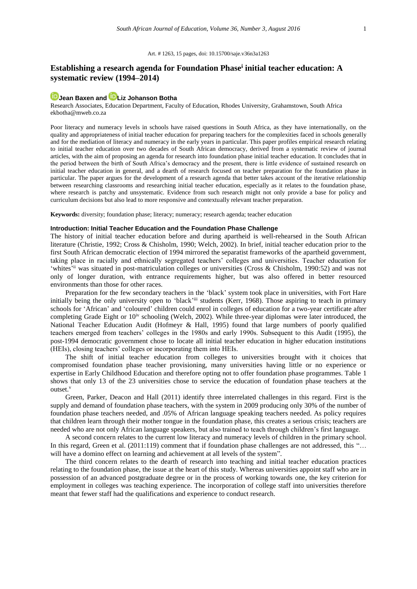#### Art. # 1263, 15 pages, doi: 10.15700/saje.v36n3a1263

# **Establishing a research agenda for Foundation Phase<sup>i</sup> initial teacher education: A systematic review (1994–2014)**

## **[Jean Baxen](http://orcid.org/0000-0001-6788-470X) and [Liz Johanson Botha](http://orcid.org/0000-0003-1918-2513)**

Research Associates, Education Department, Faculty of Education, Rhodes University, Grahamstown, South Africa [ekbotha@mweb.co.za](mailto:ekbotha@mweb.co.za)

Poor literacy and numeracy levels in schools have raised questions in South Africa, as they have internationally, on the quality and appropriateness of initial teacher education for preparing teachers for the complexities faced in schools generally and for the mediation of literacy and numeracy in the early years in particular. This paper profiles empirical research relating to initial teacher education over two decades of South African democracy, derived from a systematic review of journal articles, with the aim of proposing an agenda for research into foundation phase initial teacher education. It concludes that in the period between the birth of South Africa's democracy and the present, there is little evidence of sustained research on initial teacher education in general, and a dearth of research focused on teacher preparation for the foundation phase in particular. The paper argues for the development of a research agenda that better takes account of the iterative relationship between researching classrooms and researching initial teacher education, especially as it relates to the foundation phase, where research is patchy and unsystematic. Evidence from such research might not only provide a base for policy and curriculum decisions but also lead to more responsive and contextually relevant teacher preparation.

**Keywords:** diversity; foundation phase; literacy; numeracy; research agenda; teacher education

#### **Introduction: Initial Teacher Education and the Foundation Phase Challenge**

The history of initial teacher education before and during apartheid is well-rehearsed in the South African literature (Christie, 1992; Cross & Chisholm, 1990; Welch, 2002). In brief, initial teacher education prior to the first South African democratic election of 1994 mirrored the separatist frameworks of the apartheid government, taking place in racially and ethnically segregated teachers' colleges and universities. Teacher education for 'whites'ii was situated in post-matriculation colleges or universities (Cross & Chisholm, 1990:52) and was not only of longer duration, with entrance requirements higher, but was also offered in better resourced environments than those for other races.

Preparation for the few secondary teachers in the 'black' system took place in universities, with Fort Hare initially being the only university open to 'black'<sup>iii</sup> students (Kerr, 1968). Those aspiring to teach in primary schools for 'African' and 'coloured' children could enrol in colleges of education for a two-year certificate after completing Grade Eight or  $10^{iv}$  schooling (Welch, 2002). While three-year diplomas were later introduced, the National Teacher Education Audit (Hofmeyr & Hall, 1995) found that large numbers of poorly qualified teachers emerged from teachers' colleges in the 1980s and early 1990s. Subsequent to this Audit (1995), the post-1994 democratic government chose to locate all initial teacher education in higher education institutions (HEIs), closing teachers' colleges or incorporating them into HEIs.

The shift of initial teacher education from colleges to universities brought with it choices that compromised foundation phase teacher provisioning, many universities having little or no experience or expertise in Early Childhood Education and therefore opting not to offer foundation phase programmes. Table 1 shows that only 13 of the 23 universities chose to service the education of foundation phase teachers at the outset.<sup>v</sup>

Green, Parker, Deacon and Hall (2011) identify three interrelated challenges in this regard. First is the supply and demand of foundation phase teachers, with the system in 2009 producing only 30% of the number of foundation phase teachers needed, and .05% of African language speaking teachers needed. As policy requires that children learn through their mother tongue in the foundation phase, this creates a serious crisis; teachers are needed who are not only African language speakers, but also trained to teach through children's first language.

A second concern relates to the current low literacy and numeracy levels of children in the primary school. In this regard, Green et al. (2011:119) comment that if foundation phase challenges are not addressed, this "... will have a domino effect on learning and achievement at all levels of the system".

The third concern relates to the dearth of research into teaching and initial teacher education practices relating to the foundation phase, the issue at the heart of this study. Whereas universities appoint staff who are in possession of an advanced postgraduate degree or in the process of working towards one, the key criterion for employment in colleges was teaching experience. The incorporation of college staff into universities therefore meant that fewer staff had the qualifications and experience to conduct research.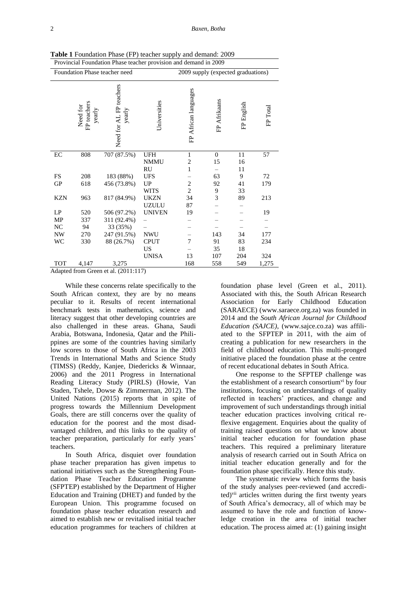| Provincial Foundation Phase teacher provision and demand in 2009 |                                   |                                   |                          |                                    |                |            |          |  |  |
|------------------------------------------------------------------|-----------------------------------|-----------------------------------|--------------------------|------------------------------------|----------------|------------|----------|--|--|
| Foundation Phase teacher need                                    |                                   |                                   |                          | 2009 supply (expected graduations) |                |            |          |  |  |
|                                                                  | Need for<br>FP teachers<br>yearly | Need for AL FP teachers<br>yearly | Universities             | FP African languages               | FP Afrikaans   | FP English | FP Total |  |  |
| $\rm EC$                                                         | 808                               | 707 (87.5%)                       | <b>UFH</b>               | $\mathbf{1}$                       | $\overline{0}$ | 11         | 57       |  |  |
|                                                                  |                                   |                                   | <b>NMMU</b><br><b>RU</b> | $\overline{c}$<br>1                | 15             | 16<br>11   |          |  |  |
| FS                                                               | 208                               | 183 (88%)                         | <b>UFS</b>               |                                    | 63             | 9          | 72       |  |  |
| <b>GP</b>                                                        | 618                               | 456 (73.8%)                       | <b>UP</b>                | $\overline{c}$                     | 92             | 41         | 179      |  |  |
|                                                                  |                                   |                                   | <b>WITS</b>              | $\overline{c}$                     | 9              | 33         |          |  |  |
| <b>KZN</b>                                                       | 963                               | 817 (84.9%)                       | <b>UKZN</b>              | 34                                 | 3              | 89         | 213      |  |  |
|                                                                  |                                   |                                   | <b>UZULU</b>             | 87                                 |                |            |          |  |  |
| LP                                                               | 520                               | 506 (97.2%)                       | <b>UNIVEN</b>            | 19                                 |                |            | 19       |  |  |
| MP                                                               | 337                               | 311 (92.4%)                       |                          |                                    |                |            |          |  |  |
| NC                                                               | 94                                | 33 (35%)                          |                          |                                    |                |            |          |  |  |
| <b>NW</b>                                                        | 270                               | 247 (91.5%)                       | <b>NWU</b>               |                                    | 143            | 34         | 177      |  |  |
| WC                                                               | 330                               | 88 (26.7%)                        | <b>CPUT</b>              | 7                                  | 91             | 83         | 234      |  |  |
|                                                                  |                                   |                                   | <b>US</b>                |                                    | 35             | 18         |          |  |  |
|                                                                  |                                   |                                   | <b>UNISA</b>             | 13                                 | 107            | 204        | 324      |  |  |
| TOT                                                              | 4,147                             | 3,275                             |                          | 168                                | 558            | 549        | 1,275    |  |  |

**Table 1** Foundation Phase (FP) teacher supply and demand: 2009

Adapted from Green et al. (2011:117)

While these concerns relate specifically to the South African context, they are by no means peculiar to it. Results of recent international benchmark tests in mathematics, science and literacy suggest that other developing countries are also challenged in these areas. Ghana, Saudi Arabia, Botswana, Indonesia, Qatar and the Philippines are some of the countries having similarly low scores to those of South Africa in the 2003 Trends in International Maths and Science Study (TIMSS) (Reddy, Kanjee, Diedericks & Winnaar, 2006) and the 2011 Progress in International Reading Literacy Study (PIRLS) (Howie, Van Staden, Tshele, Dowse & Zimmerman, 2012). The United Nations (2015) reports that in spite of progress towards the Millennium Development Goals, there are still concerns over the quality of education for the poorest and the most disadvantaged children, and this links to the quality of teacher preparation, particularly for early years' teachers.

In South Africa, disquiet over foundation phase teacher preparation has given impetus to national initiatives such as the Strengthening Foundation Phase Teacher Education Programme (SFPTEP) established by the Department of Higher Education and Training (DHET) and funded by the European Union. This programme focused on foundation phase teacher education research and aimed to establish new or revitalised initial teacher education programmes for teachers of children at

foundation phase level (Green et al., 2011). Associated with this, the South African Research Association for Early Childhood Education (SARAECE) [\(www.saraece.org.za\)](http://www.saraece.org.za/) was founded in 2014 and the *South African Journal for Childhood Education (SAJCE)*, [\(www.sajce.co.za\)](http://www.sajce.co.za/) was affiliated to the SFPTEP in 2011, with the aim of creating a publication for new researchers in the field of childhood education. This multi-pronged initiative placed the foundation phase at the centre of recent educational debates in South Africa.

One response to the SFPTEP challenge was the establishment of a research consortium<sup>vi</sup> by four institutions, focusing on understandings of quality reflected in teachers' practices, and change and improvement of such understandings through initial teacher education practices involving critical reflexive engagement. Enquiries about the quality of training raised questions on what we know about initial teacher education for foundation phase teachers. This required a preliminary literature analysis of research carried out in South Africa on initial teacher education generally and for the foundation phase specifically. Hence this study.

The systematic review which forms the basis of the study analyses peer-reviewed (and accredited)vii articles written during the first twenty years of South Africa's democracy, all of which may be assumed to have the role and function of knowledge creation in the area of initial teacher education. The process aimed at: (1) gaining insight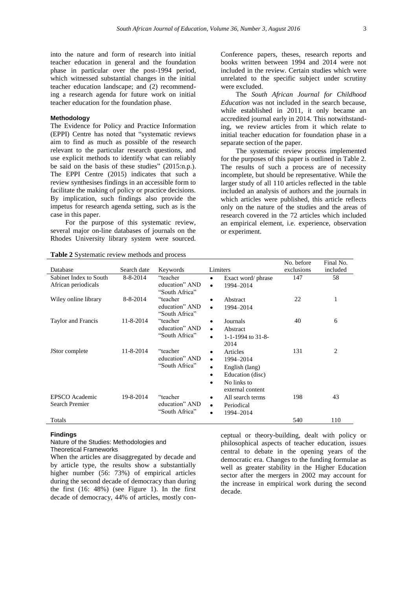into the nature and form of research into initial teacher education in general and the foundation phase in particular over the post-1994 period, which witnessed substantial changes in the initial teacher education landscape; and (2) recommending a research agenda for future work on initial teacher education for the foundation phase.

### **Methodology**

The Evidence for Policy and Practice Information (EPPI) Centre has noted that "systematic reviews aim to find as much as possible of the research relevant to the particular research questions, and use explicit methods to identify what can reliably be said on the basis of these studies" (2015:n.p.). The EPPI Centre (2015) indicates that such a review synthesises findings in an accessible form to facilitate the making of policy or practice decisions. By implication, such findings also provide the impetus for research agenda setting, such as is the case in this paper.

For the purpose of this systematic review, several major on-line databases of journals on the Rhodes University library system were sourced.

Conference papers, theses, research reports and books written between 1994 and 2014 were not included in the review. Certain studies which were unrelated to the specific subject under scrutiny were excluded.

The *South African Journal for Childhood Education* was not included in the search because, while established in 2011, it only became an accredited journal early in 2014. This notwithstanding, we review articles from it which relate to initial teacher education for foundation phase in a separate section of the paper.

The systematic review process implemented for the purposes of this paper is outlined in Table 2. The results of such a process are of necessity incomplete, but should be representative. While the larger study of all 110 articles reflected in the table included an analysis of authors and the journals in which articles were published, this article reflects only on the nature of the studies and the areas of research covered in the 72 articles which included an empirical element, i.e. experience, observation or experiment.

No. before

Final No.

| Database               | Search date    | Keywords                                     | Limiters                          | exclusions | included       |
|------------------------|----------------|----------------------------------------------|-----------------------------------|------------|----------------|
| Sabinet Index to South | 8-8-2014       | "teacher                                     | Exact word/ phrase<br>$\bullet$   | 147        | 58             |
| African periodicals    |                | education" AND                               | 1994-2014<br>$\bullet$            |            |                |
|                        |                | "South Africa"                               |                                   |            |                |
| Wiley online library   | $8 - 8 - 2014$ | "teacher                                     | Abstract<br>٠                     | 22         | 1              |
|                        |                | education" AND                               | 1994-2014<br>$\bullet$            |            |                |
|                        |                | "South Africa"                               |                                   |            |                |
| Taylor and Francis     | 11-8-2014      | "teacher<br>education" AND<br>"South Africa" | Journals<br>٠                     | 40         | 6              |
|                        |                |                                              | Abstract<br>$\bullet$             |            |                |
|                        |                |                                              | 1-1-1994 to $31-8$ -<br>$\bullet$ |            |                |
|                        |                |                                              | 2014                              |            |                |
| JStor complete         | 11-8-2014      | "teacher<br>education" AND<br>"South Africa" | Articles<br>٠                     | 131        | $\overline{c}$ |
|                        |                |                                              | 1994–2014<br>$\bullet$            |            |                |
|                        |                |                                              | English (lang)<br>٠               |            |                |
|                        |                |                                              | Education (disc)<br>٠             |            |                |
|                        |                |                                              | No links to<br>$\bullet$          |            |                |
|                        |                |                                              | external content                  |            |                |
| EPSCO Academic         | 19-8-2014      | "teacher                                     | All search terms<br>٠             | 198        | 43             |
| <b>Search Premier</b>  |                | education" AND                               | Periodical<br>$\bullet$           |            |                |
|                        |                | "South Africa"                               | 1994-2014<br>$\bullet$            |            |                |
| Totals                 |                |                                              |                                   | 540        | 110            |
|                        |                |                                              |                                   |            |                |

**Table 2** Systematic review methods and process

#### **Findings**

#### Nature of the Studies: Methodologies and Theoretical Frameworks

When the articles are disaggregated by decade and by article type, the results show a substantially higher number (56: 73%) of empirical articles during the second decade of democracy than during the first (16: 48%) (see Figure 1). In the first decade of democracy, 44% of articles, mostly conceptual or theory-building, dealt with policy or philosophical aspects of teacher education, issues central to debate in the opening years of the democratic era. Changes to the funding formulae as well as greater stability in the Higher Education sector after the mergers in 2002 may account for the increase in empirical work during the second decade.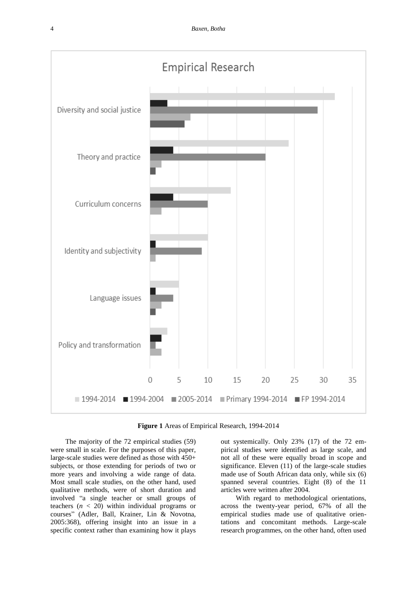

**Figure 1** Areas of Empirical Research, 1994-2014

The majority of the 72 empirical studies (59) were small in scale. For the purposes of this paper, large-scale studies were defined as those with 450+ subjects, or those extending for periods of two or more years and involving a wide range of data. Most small scale studies, on the other hand, used qualitative methods, were of short duration and involved "a single teacher or small groups of teachers (*n* < 20) within individual programs or courses" (Adler, Ball, Krainer, Lin & Novotna, 2005:368), offering insight into an issue in a specific context rather than examining how it plays

out systemically. Only 23% (17) of the 72 empirical studies were identified as large scale, and not all of these were equally broad in scope and significance. Eleven (11) of the large-scale studies made use of South African data only, while six (6) spanned several countries. Eight (8) of the 11 articles were written after 2004.

With regard to methodological orientations, across the twenty-year period, 67% of all the empirical studies made use of qualitative orientations and concomitant methods. Large-scale research programmes, on the other hand, often used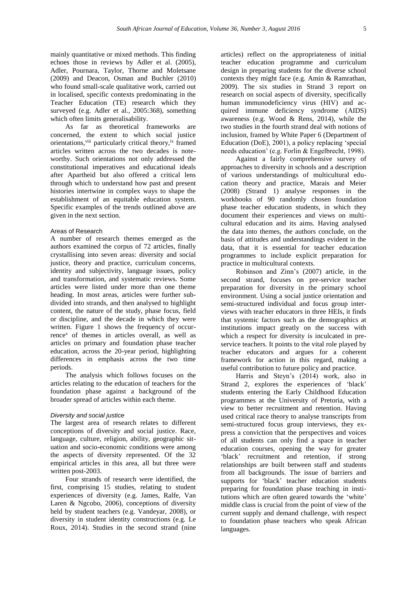mainly quantitative or mixed methods. This finding echoes those in reviews by Adler et al. (2005), Adler, Pournara, Taylor, Thorne and Moletsane (2009) and Deacon, Osman and Buchler (2010) who found small-scale qualitative work, carried out in localised, specific contexts predominating in the Teacher Education (TE) research which they surveyed (e.g. Adler et al., 2005:368), something which often limits generalisability.

As far as theoretical frameworks are concerned, the extent to which social justice orientations,<sup>viii</sup> particularly critical theory,<sup>ix</sup> framed articles written across the two decades is noteworthy. Such orientations not only addressed the constitutional imperatives and educational ideals after Apartheid but also offered a critical lens through which to understand how past and present histories intertwine in complex ways to shape the establishment of an equitable education system. Specific examples of the trends outlined above are given in the next section.

#### Areas of Research

A number of research themes emerged as the authors examined the corpus of 72 articles, finally crystallising into seven areas: diversity and social justice, theory and practice, curriculum concerns, identity and subjectivity, language issues, policy and transformation, and systematic reviews. Some articles were listed under more than one theme heading. In most areas, articles were further subdivided into strands, and then analysed to highlight content, the nature of the study, phase focus, field or discipline, and the decade in which they were written. Figure 1 shows the frequency of occur $r$ ence<sup>x</sup> of themes in articles overall, as well as articles on primary and foundation phase teacher education, across the 20-year period, highlighting differences in emphasis across the two time periods.

The analysis which follows focuses on the articles relating to the education of teachers for the foundation phase against a background of the broader spread of articles within each theme.

#### *Diversity and social justice*

The largest area of research relates to different conceptions of diversity and social justice. Race, language, culture, religion, ability, geographic situation and socio-economic conditions were among the aspects of diversity represented. Of the 32 empirical articles in this area, all but three were written post-2003.

Four strands of research were identified, the first, comprising 15 studies, relating to student experiences of diversity (e.g. James, Ralfe, Van Laren & Ngcobo, 2006), conceptions of diversity held by student teachers (e.g. Vandeyar, 2008), or diversity in student identity constructions (e.g. Le Roux, 2014). Studies in the second strand (nine

articles) reflect on the appropriateness of initial teacher education programme and curriculum design in preparing students for the diverse school contexts they might face (e.g. Amin & Ramrathan, 2009). The six studies in Strand 3 report on research on social aspects of diversity, specifically human immunodeficiency virus (HIV) and acquired immune deficiency syndrome (AIDS) awareness (e.g. Wood & Rens, 2014), while the two studies in the fourth strand deal with notions of inclusion, framed by White Paper 6 (Department of Education (DoE), 2001), a policy replacing 'special needs education' (e.g. Forlin & Engelbrecht, 1998).

Against a fairly comprehensive survey of approaches to diversity in schools and a description of various understandings of multicultural education theory and practice, Marais and Meier (2008) (Strand 1) analyse responses in the workbooks of 90 randomly chosen foundation phase teacher education students, in which they document their experiences and views on multicultural education and its aims. Having analysed the data into themes, the authors conclude, on the basis of attitudes and understandings evident in the data, that it is essential for teacher education programmes to include explicit preparation for practice in multicultural contexts.

Robinson and Zinn's (2007) article, in the second strand, focuses on pre-service teacher preparation for diversity in the primary school environment. Using a social justice orientation and semi-structured individual and focus group interviews with teacher educators in three HEIs, it finds that systemic factors such as the demographics at institutions impact greatly on the success with which a respect for diversity is inculcated in preservice teachers. It points to the vital role played by teacher educators and argues for a coherent framework for action in this regard, making a useful contribution to future policy and practice.

Harris and Steyn's (2014) work, also in Strand 2, explores the experiences of 'black' students entering the Early Childhood Education programmes at the University of Pretoria, with a view to better recruitment and retention. Having used critical race theory to analyse transcripts from semi-structured focus group interviews, they express a conviction that the perspectives and voices of all students can only find a space in teacher education courses, opening the way for greater 'black' recruitment and retention, if strong relationships are built between staff and students from all backgrounds. The issue of barriers and supports for 'black' teacher education students preparing for foundation phase teaching in institutions which are often geared towards the 'white' middle class is crucial from the point of view of the current supply and demand challenge, with respect to foundation phase teachers who speak African languages.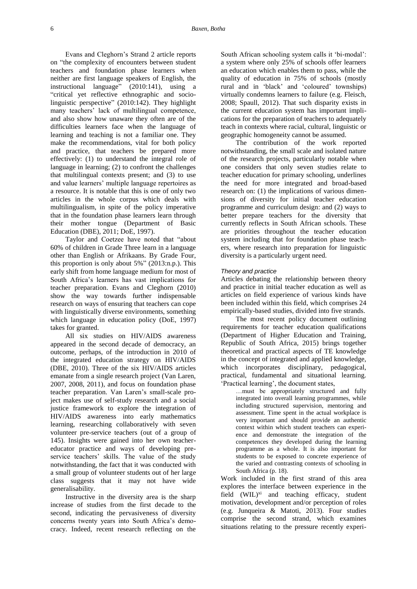Evans and Cleghorn's Strand 2 article reports on "the complexity of encounters between student teachers and foundation phase learners when neither are first language speakers of English, the instructional language" (2010:141), using a "critical yet reflective ethnographic and sociolinguistic perspective" (2010:142). They highlight many teachers' lack of multilingual competence, and also show how unaware they often are of the difficulties learners face when the language of learning and teaching is not a familiar one. They make the recommendations, vital for both policy and practice, that teachers be prepared more effectively: (1) to understand the integral role of language in learning; (2) to confront the challenges that multilingual contexts present; and (3) to use and value learners' multiple language repertoires as a resource. It is notable that this is one of only two articles in the whole corpus which deals with multilingualism, in spite of the policy imperative that in the foundation phase learners learn through their mother tongue (Department of Basic Education (DBE), 2011; DoE, 1997).

Taylor and Coetzee have noted that "about 60% of children in Grade Three learn in a language other than English or Afrikaans. By Grade Four, this proportion is only about 5%" (2013:n.p.). This early shift from home language medium for most of South Africa's learners has vast implications for teacher preparation. Evans and Cleghorn (2010) show the way towards further indispensable research on ways of ensuring that teachers can cope with linguistically diverse environments, something which language in education policy (DoE, 1997) takes for granted.

All six studies on HIV/AIDS awareness appeared in the second decade of democracy, an outcome, perhaps, of the introduction in 2010 of the integrated education strategy on HIV/AIDS (DBE, 2010). Three of the six HIV/AIDS articles emanate from a single research project (Van Laren, 2007, 2008, 2011), and focus on foundation phase teacher preparation. Van Laren's small-scale project makes use of self-study research and a social justice framework to explore the integration of HIV/AIDS awareness into early mathematics learning, researching collaboratively with seven volunteer pre-service teachers (out of a group of 145). Insights were gained into her own teachereducator practice and ways of developing preservice teachers' skills. The value of the study notwithstanding, the fact that it was conducted with a small group of volunteer students out of her large class suggests that it may not have wide generalisability.

Instructive in the diversity area is the sharp increase of studies from the first decade to the second, indicating the pervasiveness of diversity concerns twenty years into South Africa's democracy. Indeed, recent research reflecting on the

South African schooling system calls it 'bi-modal': a system where only 25% of schools offer learners an education which enables them to pass, while the quality of education in 75% of schools (mostly rural and in 'black' and 'coloured' townships) virtually condemns learners to failure (e.g. Fleisch, 2008; Spaull, 2012). That such disparity exists in the current education system has important implications for the preparation of teachers to adequately teach in contexts where racial, cultural, linguistic or geographic homogeneity cannot be assumed.

The contribution of the work reported notwithstanding, the small scale and isolated nature of the research projects, particularly notable when one considers that only seven studies relate to teacher education for primary schooling, underlines the need for more integrated and broad-based research on: (1) the implications of various dimensions of diversity for initial teacher education programme and curriculum design: and (2) ways to better prepare teachers for the diversity that currently reflects in South African schools. These are priorities throughout the teacher education system including that for foundation phase teachers, where research into preparation for linguistic diversity is a particularly urgent need.

#### *Theory and practice*

Articles debating the relationship between theory and practice in initial teacher education as well as articles on field experience of various kinds have been included within this field, which comprises 24 empirically-based studies, divided into five strands.

The most recent policy document outlining requirements for teacher education qualifications (Department of Higher Education and Training, Republic of South Africa, 2015) brings together theoretical and practical aspects of TE knowledge in the concept of integrated and applied knowledge, which incorporates disciplinary, pedagogical, practical, fundamental and situational learning. 'Practical learning', the document states,

…must be appropriately structured and fully integrated into overall learning programmes, while including structured supervision, mentoring and assessment. Time spent in the actual workplace is very important and should provide an authentic context within which student teachers can experience and demonstrate the integration of the competences they developed during the learning programme as a whole. It is also important for students to be exposed to concrete experience of the varied and contrasting contexts of schooling in South Africa (p. 18).

Work included in the first strand of this area explores the interface between experience in the field  $(WIL)^{xi}$  and teaching efficacy, student motivation, development and/or perception of roles (e.g. Junqueira & Matoti, 2013). Four studies comprise the second strand, which examines situations relating to the pressure recently experi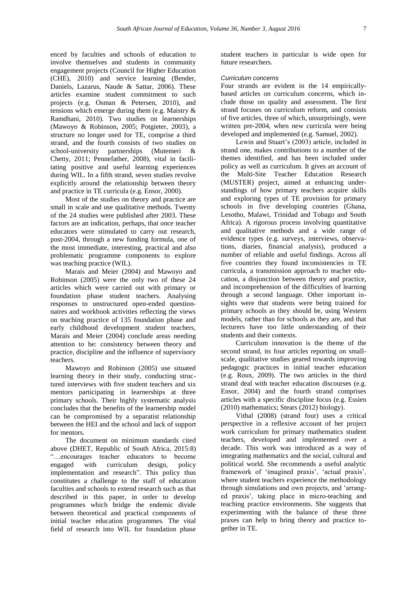enced by faculties and schools of education to involve themselves and students in community engagement projects (Council for Higher Education (CHE), 2010) and service learning (Bender, Daniels, Lazarus, Naude & Sattar, 2006). These articles examine student commitment to such projects (e.g. Osman & Petersen, 2010), and tensions which emerge during them (e.g. Maistry & Ramdhani, 2010). Two studies on learnerships (Mawoyo & Robinson, 2005; Potgieter, 2003), a structure no longer used for TE, comprise a third strand, and the fourth consists of two studies on school-university partnerships (Mutemeri & Chetty, 2011; Pennefather, 2008), vital in facilitating positive and useful learning experiences during WIL. In a fifth strand, seven studies revolve explicitly around the relationship between theory and practice in TE curricula (e.g. Ensor, 2000).

Most of the studies on theory and practice are small in scale and use qualitative methods. Twenty of the 24 studies were published after 2003. These factors are an indication, perhaps, that once teacher educators were stimulated to carry out research, post-2004, through a new funding formula, one of the most immediate, interesting, practical and also problematic programme components to explore was teaching practice (WIL).

Marais and Meier (2004) and Mawoyo and Robinson (2005) were the only two of these 24 articles which were carried out with primary or foundation phase student teachers. Analysing responses to unstructured open-ended questionnaires and workbook activities reflecting the views on teaching practice of 135 foundation phase and early childhood development student teachers, Marais and Meier (2004) conclude areas needing attention to be: consistency between theory and practice, discipline and the influence of supervisory teachers.

Mawoyo and Robinson (2005) use situated learning theory in their study, conducting structured interviews with five student teachers and six mentors participating in learnerships at three primary schools. Their highly systematic analysis concludes that the benefits of the learnership model can be compromised by a separatist relationship between the HEI and the school and lack of support for mentors.

The document on minimum standards cited above (DHET, Republic of South Africa, 2015:8) "…encourages teacher educators to become engaged with curriculum design, policy implementation and research". This policy thus constitutes a challenge to the staff of education faculties and schools to extend research such as that described in this paper, in order to develop programmes which bridge the endemic divide between theoretical and practical components of initial teacher education programmes. The vital field of research into WIL for foundation phase

student teachers in particular is wide open for future researchers.

#### *Curriculum concerns*

Four strands are evident in the 14 empiricallybased articles on curriculum concerns, which include those on quality and assessment. The first strand focuses on curriculum reform, and consists of five articles, three of which, unsurprisingly, were written pre-2004, when new curricula were being developed and implemented (e.g. Samuel, 2002).

Lewin and Stuart's (2003) article, included in strand one, makes contributions to a number of the themes identified, and has been included under policy as well as curriculum. It gives an account of the Multi-Site Teacher Education Research (MUSTER) project, aimed at enhancing understandings of how primary teachers acquire skills and exploring types of TE provision for primary schools in five developing countries (Ghana, Lesotho, Malawi, Trinidad and Tobago and South Africa). A rigorous process involving quantitative and qualitative methods and a wide range of evidence types (e.g. surveys, interviews, observations, diaries, financial analysis), produced a number of reliable and useful findings. Across all five countries they found inconsistencies in TE curricula, a transmission approach to teacher education, a disjunction between theory and practice, and incomprehension of the difficulties of learning through a second language. Other important insights were that students were being trained for primary schools as they should be, using Western models, rather than for schools as they are, and that lecturers have too little understanding of their students and their contexts.

Curriculum innovation is the theme of the second strand, its four articles reporting on smallscale, qualitative studies geared towards improving pedagogic practices in initial teacher education (e.g. Roux, 2009). The two articles in the third strand deal with teacher education discourses (e.g. Ensor, 2004) and the fourth strand comprises articles with a specific discipline focus (e.g. Essien (2010) mathematics; Stears (2012) biology).

Vithal (2008) (strand four) uses a critical perspective in a reflexive account of her project work curriculum for primary mathematics student teachers, developed and implemented over a decade. This work was introduced as a way of integrating mathematics and the social, cultural and political world. She recommends a useful analytic framework of 'imagined praxis', 'actual praxis', where student teachers experience the methodology through simulations and own projects, and 'arranged praxis', taking place in micro-teaching and teaching practice environments. She suggests that experimenting with the balance of these three praxes can help to bring theory and practice together in TE.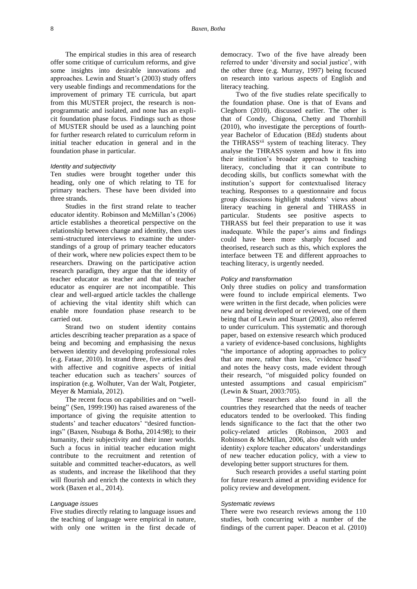The empirical studies in this area of research offer some critique of curriculum reforms, and give some insights into desirable innovations and approaches. Lewin and Stuart's (2003) study offers very useable findings and recommendations for the improvement of primary TE curricula, but apart from this MUSTER project, the research is nonprogrammatic and isolated, and none has an explicit foundation phase focus. Findings such as those of MUSTER should be used as a launching point for further research related to curriculum reform in initial teacher education in general and in the foundation phase in particular.

#### *Identity and subjectivity*

Ten studies were brought together under this heading, only one of which relating to TE for primary teachers. These have been divided into three strands.

Studies in the first strand relate to teacher educator identity. Robinson and McMillan's (2006) article establishes a theoretical perspective on the relationship between change and identity, then uses semi-structured interviews to examine the understandings of a group of primary teacher educators of their work, where new policies expect them to be researchers. Drawing on the participative action research paradigm, they argue that the identity of teacher educator as teacher and that of teacher educator as enquirer are not incompatible. This clear and well-argued article tackles the challenge of achieving the vital identity shift which can enable more foundation phase research to be carried out.

Strand two on student identity contains articles describing teacher preparation as a space of being and becoming and emphasising the nexus between identity and developing professional roles (e.g. Fataar, 2010). In strand three, five articles deal with affective and cognitive aspects of initial teacher education such as teachers' sources of inspiration (e.g. Wolhuter, Van der Walt, Potgieter, Meyer & Mamiala, 2012).

The recent focus on capabilities and on "wellbeing" (Sen, 1999:190) has raised awareness of the importance of giving the requisite attention to students' and teacher educators' "desired functionings" (Baxen, Nsubuga & Botha, 2014:98); to their humanity, their subjectivity and their inner worlds. Such a focus in initial teacher education might contribute to the recruitment and retention of suitable and committed teacher-educators, as well as students, and increase the likelihood that they will flourish and enrich the contexts in which they work (Baxen et al., 2014).

#### *Language issues*

Five studies directly relating to language issues and the teaching of language were empirical in nature, with only one written in the first decade of

democracy. Two of the five have already been referred to under 'diversity and social justice', with the other three (e.g. Murray, 1997) being focused on research into various aspects of English and literacy teaching.

Two of the five studies relate specifically to the foundation phase. One is that of Evans and Cleghorn (2010), discussed earlier. The other is that of Condy, Chigona, Chetty and Thornhill (2010), who investigate the perceptions of fourthyear Bachelor of Education (BEd) students about the THRASS<sup>xii</sup> system of teaching literacy. They analyse the THRASS system and how it fits into their institution's broader approach to teaching literacy, concluding that it can contribute to decoding skills, but conflicts somewhat with the institution's support for contextualised literacy teaching. Responses to a questionnaire and focus group discussions highlight students' views about literacy teaching in general and THRASS in particular. Students see positive aspects to THRASS but feel their preparation to use it was inadequate. While the paper's aims and findings could have been more sharply focused and theorised, research such as this, which explores the interface between TE and different approaches to teaching literacy, is urgently needed.

#### *Policy and transformation*

Only three studies on policy and transformation were found to include empirical elements. Two were written in the first decade, when policies were new and being developed or reviewed, one of them being that of Lewin and Stuart (2003), also referred to under curriculum. This systematic and thorough paper, based on extensive research which produced a variety of evidence-based conclusions, highlights "the importance of adopting approaches to policy that are more, rather than less, 'evidence based'" and notes the heavy costs, made evident through their research, "of misguided policy founded on untested assumptions and casual empiricism" (Lewin & Stuart, 2003:705).

These researchers also found in all the countries they researched that the needs of teacher educators tended to be overlooked. This finding lends significance to the fact that the other two policy-related articles (Robinson, 2003 and Robinson & McMillan, 2006, also dealt with under identity) explore teacher educators' understandings of new teacher education policy, with a view to developing better support structures for them.

Such research provides a useful starting point for future research aimed at providing evidence for policy review and development.

#### *Systematic reviews*

There were two research reviews among the 110 studies, both concurring with a number of the findings of the current paper. Deacon et al. (2010)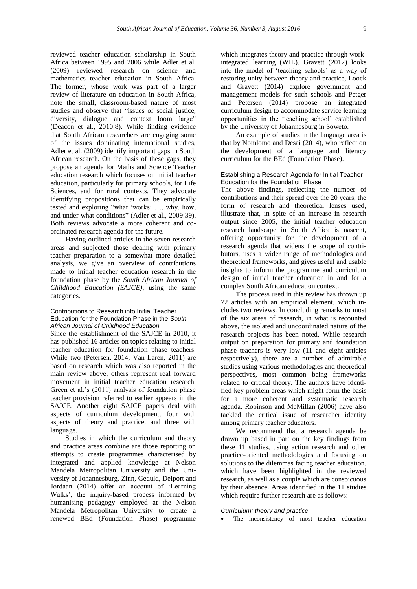reviewed teacher education scholarship in South Africa between 1995 and 2006 while Adler et al. (2009) reviewed research on science and mathematics teacher education in South Africa. The former, whose work was part of a larger review of literature on education in South Africa, note the small, classroom-based nature of most studies and observe that "issues of social justice, diversity, dialogue and context loom large" (Deacon et al., 2010:8). While finding evidence that South African researchers are engaging some of the issues dominating international studies, Adler et al. (2009) identify important gaps in South African research. On the basis of these gaps, they propose an agenda for Maths and Science Teacher education research which focuses on initial teacher education, particularly for primary schools, for Life Sciences, and for rural contexts. They advocate identifying propositions that can be empirically tested and exploring "what 'works' …, why, how, and under what conditions" (Adler et al., 2009:39). Both reviews advocate a more coherent and coordinated research agenda for the future.

Having outlined articles in the seven research areas and subjected those dealing with primary teacher preparation to a somewhat more detailed analysis, we give an overview of contributions made to initial teacher education research in the foundation phase by the *South African Journal of Childhood Education (SAJCE)*, using the same categories.

#### Contributions to Research into Initial Teacher Education for the Foundation Phase in the *South African Journal of Childhood Education*

Since the establishment of the SAJCE in 2010, it has published 16 articles on topics relating to initial teacher education for foundation phase teachers. While two (Petersen, 2014; Van Laren, 2011) are based on research which was also reported in the main review above, others represent real forward movement in initial teacher education research. Green et al.'s (2011) analysis of foundation phase teacher provision referred to earlier appears in the SAJCE. Another eight SAJCE papers deal with aspects of curriculum development, four with aspects of theory and practice, and three with language.

Studies in which the curriculum and theory and practice areas combine are those reporting on attempts to create programmes characterised by integrated and applied knowledge at Nelson Mandela Metropolitan University and the University of Johannesburg. Zinn, Geduld, Delport and Jordaan (2014) offer an account of 'Learning Walks', the inquiry-based process informed by humanising pedagogy employed at the Nelson Mandela Metropolitan University to create a renewed BEd (Foundation Phase) programme

which integrates theory and practice through workintegrated learning (WIL). Gravett (2012) looks into the model of 'teaching schools' as a way of restoring unity between theory and practice, Loock and Gravett (2014) explore government and management models for such schools and Petger and Petersen (2014) propose an integrated curriculum design to accommodate service learning opportunities in the 'teaching school' established by the University of Johannesburg in Soweto.

An example of studies in the language area is that by Nomlomo and Desai (2014), who reflect on the development of a language and literacy curriculum for the BEd (Foundation Phase).

#### Establishing a Research Agenda for Initial Teacher Education for the Foundation Phase

The above findings, reflecting the number of contributions and their spread over the 20 years, the form of research and theoretical lenses used, illustrate that, in spite of an increase in research output since 2005, the initial teacher education research landscape in South Africa is nascent, offering opportunity for the development of a research agenda that widens the scope of contributors, uses a wider range of methodologies and theoretical frameworks, and gives useful and usable insights to inform the programme and curriculum design of initial teacher education in and for a complex South African education context.

The process used in this review has thrown up 72 articles with an empirical element, which includes two reviews. In concluding remarks to most of the six areas of research, in what is recounted above, the isolated and uncoordinated nature of the research projects has been noted. While research output on preparation for primary and foundation phase teachers is very low (11 and eight articles respectively), there are a number of admirable studies using various methodologies and theoretical perspectives, most common being frameworks related to critical theory. The authors have identified key problem areas which might form the basis for a more coherent and systematic research agenda. Robinson and McMillan (2006) have also tackled the critical issue of researcher identity among primary teacher educators.

We recommend that a research agenda be drawn up based in part on the key findings from these 11 studies, using action research and other practice-oriented methodologies and focusing on solutions to the dilemmas facing teacher education, which have been highlighted in the reviewed research, as well as a couple which are conspicuous by their absence. Areas identified in the 11 studies which require further research are as follows:

#### *Curriculum; theory and practice*

• The inconsistency of most teacher education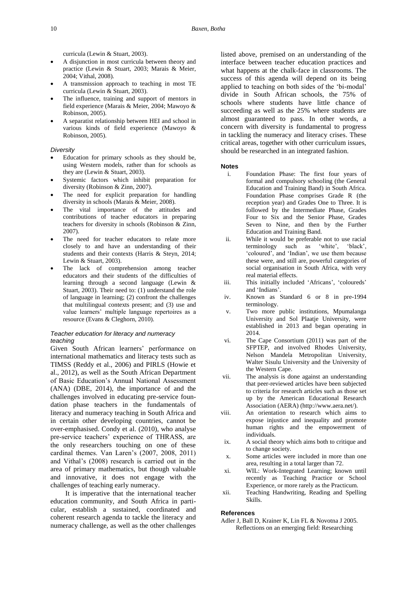curricula (Lewin & Stuart, 2003).

- A disjunction in most curricula between theory and practice (Lewin & Stuart, 2003; Marais & Meier, 2004; Vithal, 2008).
- A transmission approach to teaching in most TE curricula (Lewin & Stuart, 2003).
- The influence, training and support of mentors in field experience (Marais & Meier, 2004; Mawoyo & Robinson, 2005).
- A separatist relationship between HEI and school in various kinds of field experience (Mawoyo & Robinson, 2005).

#### *Diversity*

- Education for primary schools as they should be, using Western models, rather than for schools as they are (Lewin & Stuart, 2003).
- Systemic factors which inhibit preparation for diversity (Robinson & Zinn, 2007).
- The need for explicit preparation for handling diversity in schools (Marais & Meier, 2008).
- The vital importance of the attitudes and contributions of teacher educators in preparing teachers for diversity in schools (Robinson & Zinn, 2007).
- The need for teacher educators to relate more closely to and have an understanding of their students and their contexts (Harris & Steyn, 2014; Lewin & Stuart, 2003).
- The lack of comprehension among teacher educators and their students of the difficulties of learning through a second language (Lewin & Stuart, 2003). Their need to: (1) understand the role of language in learning; (2) confront the challenges that multilingual contexts present; and (3) use and value learners' multiple language repertoires as a resource (Evans & Cleghorn, 2010).

#### *Teacher education for literacy and numeracy teaching*

Given South African learners' performance on international mathematics and literacy tests such as TIMSS (Reddy et al., 2006) and PIRLS (Howie et al., 2012), as well as the South African Department of Basic Education's Annual National Assessment (ANA) (DBE, 2014), the importance of and the challenges involved in educating pre-service foundation phase teachers in the fundamentals of literacy and numeracy teaching in South Africa and in certain other developing countries, cannot be over-emphasised. Condy et al. (2010), who analyse pre-service teachers' experience of THRASS, are the only researchers touching on one of these cardinal themes. Van Laren's (2007, 2008, 2011) and Vithal's (2008) research is carried out in the area of primary mathematics, but though valuable and innovative, it does not engage with the challenges of teaching early numeracy.

It is imperative that the international teacher education community, and South Africa in particular, establish a sustained, coordinated and coherent research agenda to tackle the literacy and numeracy challenge, as well as the other challenges listed above, premised on an understanding of the interface between teacher education practices and what happens at the chalk-face in classrooms. The success of this agenda will depend on its being applied to teaching on both sides of the 'bi-modal' divide in South African schools, the 75% of schools where students have little chance of succeeding as well as the 25% where students are almost guaranteed to pass. In other words, a concern with diversity is fundamental to progress in tackling the numeracy and literacy crises. These critical areas, together with other curriculum issues, should be researched in an integrated fashion.

#### **Notes**

- i. Foundation Phase: The first four years of formal and compulsory schooling (the General Education and Training Band) in South Africa. Foundation Phase comprises Grade R (the reception year) and Grades One to Three. It is followed by the Intermediate Phase, Grades Four to Six and the Senior Phase, Grades Seven to Nine, and then by the Further Education and Training Band.
- ii. While it would be preferable not to use racial terminology such as 'white', 'black', 'coloured', and 'Indian', we use them because these were, and still are, powerful categories of social organisation in South Africa, with very real material effects.
- iii. This initially included 'Africans', 'coloureds' and 'Indians'.
- iv. Known as Standard 6 or 8 in pre-1994 terminology.
- v. Two more public institutions, Mpumalanga University and Sol Plaatje University, were established in 2013 and began operating in 2014.
- vi. The Cape Consortium (2011) was part of the SFPTEP, and involved Rhodes University, Nelson Mandela Metropolitan University, Walter Sisulu University and the University of the Western Cape.
- vii. The analysis is done against an understanding that peer-reviewed articles have been subjected to criteria for research articles such as those set up by the American Educational Research Association (AERA) [\(http://www.aera.net/\)](http://www.aera.net/).
- viii. An orientation to research which aims to expose injustice and inequality and promote human rights and the empowerment of individuals.
- ix. A social theory which aims both to critique and to change society.
- x. Some articles were included in more than one area, resulting in a total larger than 72.
- xi. WIL: Work-Integrated Learning; known until recently as Teaching Practice or School Experience, or more rarely as the Practicum.
- xii. Teaching Handwriting, Reading and Spelling Skills.

#### **References**

Adler J, Ball D, Krainer K, Lin FL & Novotna J 2005. Reflections on an emerging field: Researching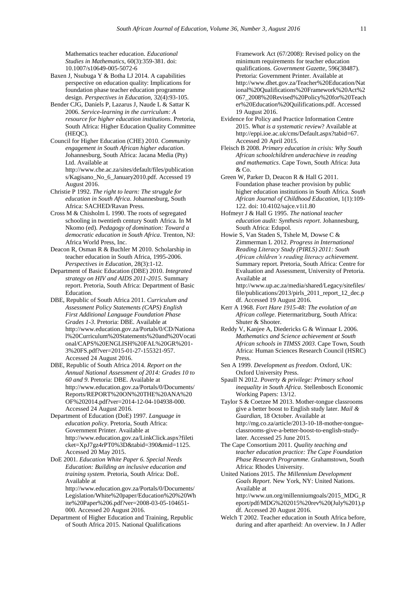Mathematics teacher education. *Educational Studies in Mathematics*, 60(3):359-381. [doi:](http://dx.doi.org/10.1007/s10649-005-5072-6)  [10.1007/s10649-005-5072-6](http://dx.doi.org/10.1007/s10649-005-5072-6)

- Baxen J, Nsubuga Y & Botha LJ 2014. A capabilities perspective on education quality: Implications for foundation phase teacher education programme design. *Perspectives in Education,* 32(4):93-105.
- Bender CJG, Daniels P, Lazarus J, Naude L & Sattar K 2006. *Service-learning in the curriculum: A resource for higher education institutions*. Pretoria, South Africa: Higher Education Quality Committee (HEQC).
- Council for Higher Education (CHE) 2010. *Community engagement in South African higher education*. Johannesburg, South Africa: Jacana Media (Pty) Ltd. Available at

[http://www.che.ac.za/sites/default/files/publication](http://www.che.ac.za/sites/default/files/publications/Kagisano_No_6_January2010.pdf) [s/Kagisano\\_No\\_6\\_January2010.pdf.](http://www.che.ac.za/sites/default/files/publications/Kagisano_No_6_January2010.pdf) Accessed 19 August 2016.

- Christie P 1992. *The right to learn: The struggle for education in South Africa*. Johannesburg, South Africa: SACHED/Ravan Press.
- Cross M & Chisholm L 1990. The roots of segregated schooling in twentieth century South Africa. In M Nkomo (ed). *Pedagogy of domination: Toward a democratic education in South Africa*. Trenton, NJ: Africa World Press, Inc.
- Deacon R, Osman R & Buchler M 2010. Scholarship in teacher education in South Africa, 1995-2006. *Perspectives in Education*, 28(3):1-12.
- Department of Basic Education (DBE) 2010. *Integrated strategy on HIV and AIDS 2011-2015*. Summary report. Pretoria, South Africa: Department of Basic Education.
- DBE, Republic of South Africa 2011. *Curriculum and Assessment Policy Statements (CAPS) English First Additional Language Foundation Phase Grades 1-3*. Pretoria: DBE. Available at [http://www.education.gov.za/Portals/0/CD/Nationa](http://www.education.gov.za/Portals/0/CD/National%20Curriculum%20Statements%20and%20Vocational/CAPS%20ENGLISH%20FAL%20GR%201-3%20FS.pdf?ver=2015-01-27-155321-957) [l%20Curriculum%20Statements%20and%20Vocati](http://www.education.gov.za/Portals/0/CD/National%20Curriculum%20Statements%20and%20Vocational/CAPS%20ENGLISH%20FAL%20GR%201-3%20FS.pdf?ver=2015-01-27-155321-957) [onal/CAPS%20ENGLISH%20FAL%20GR%201-](http://www.education.gov.za/Portals/0/CD/National%20Curriculum%20Statements%20and%20Vocational/CAPS%20ENGLISH%20FAL%20GR%201-3%20FS.pdf?ver=2015-01-27-155321-957) [3%20FS.pdf?ver=2015-01-27-155321-957.](http://www.education.gov.za/Portals/0/CD/National%20Curriculum%20Statements%20and%20Vocational/CAPS%20ENGLISH%20FAL%20GR%201-3%20FS.pdf?ver=2015-01-27-155321-957) Accessed 24 August 2016.
- DBE, Republic of South Africa 2014. *Report on the Annual National Assessment of 2014: Grades 10 to 60 and 9*. Pretoria: DBE. Available at [http://www.education.gov.za/Portals/0/Documents/](http://www.education.gov.za/Portals/0/Documents/Reports/REPORT%20ON%20THE%20ANA%20OF%202014.pdf?ver=2014-12-04-104938-000) [Reports/REPORT%20ON%20THE%20ANA%20](http://www.education.gov.za/Portals/0/Documents/Reports/REPORT%20ON%20THE%20ANA%20OF%202014.pdf?ver=2014-12-04-104938-000) [OF%202014.pdf?ver=2014-12-04-104938-000.](http://www.education.gov.za/Portals/0/Documents/Reports/REPORT%20ON%20THE%20ANA%20OF%202014.pdf?ver=2014-12-04-104938-000) Accessed 24 August 2016.
- Department of Education (DoE) 1997. *Language in education policy*. Pretoria, South Africa: Government Printer. Available at [http://www.education.gov.za/LinkClick.aspx?fileti](http://www.education.gov.za/LinkClick.aspx?fileticket=XpJ7gz4rPT0%3D&tabid=390&mid=1125) [cket=XpJ7gz4rPT0%3D&tabid=390&mid=1125.](http://www.education.gov.za/LinkClick.aspx?fileticket=XpJ7gz4rPT0%3D&tabid=390&mid=1125)  Accessed 20 May 2015.
- DoE 2001. *Education White Paper 6. Special Needs Education: Building an inclusive education and training system*. Pretoria, South Africa: DoE. Available at [http://www.education.gov.za/Portals/0/Documents/](http://www.education.gov.za/Portals/0/Documents/Legislation/White%20paper/Education%20%20White%20Paper%206.pdf?ver=2008-03-05-104651-000)
	- [Legislation/White%20paper/Education%20%20Wh](http://www.education.gov.za/Portals/0/Documents/Legislation/White%20paper/Education%20%20White%20Paper%206.pdf?ver=2008-03-05-104651-000) [ite%20Paper%206.pdf?ver=2008-03-05-104651-](http://www.education.gov.za/Portals/0/Documents/Legislation/White%20paper/Education%20%20White%20Paper%206.pdf?ver=2008-03-05-104651-000) [000.](http://www.education.gov.za/Portals/0/Documents/Legislation/White%20paper/Education%20%20White%20Paper%206.pdf?ver=2008-03-05-104651-000) Accessed 20 August 2016.
- Department of Higher Education and Training, Republic of South Africa 2015. National Qualifications

Framework Act (67/2008): Revised policy on the minimum requirements for teacher education qualifications. *Government Gazette*, 596(38487). Pretoria: Government Printer. Available at [http://www.dhet.gov.za/Teacher%20Education/Nat](http://www.dhet.gov.za/Teacher%20Education/National%20Qualifications%20Framework%20Act%2067_2008%20Revised%20Policy%20for%20Teacher%20Education%20Quilifications.pdf) [ional%20Qualifications%20Framework%20Act%2](http://www.dhet.gov.za/Teacher%20Education/National%20Qualifications%20Framework%20Act%2067_2008%20Revised%20Policy%20for%20Teacher%20Education%20Quilifications.pdf) [067\\_2008%20Revised%20Policy%20for%20Teach](http://www.dhet.gov.za/Teacher%20Education/National%20Qualifications%20Framework%20Act%2067_2008%20Revised%20Policy%20for%20Teacher%20Education%20Quilifications.pdf) [er%20Education%20Quilifications.pdf.](http://www.dhet.gov.za/Teacher%20Education/National%20Qualifications%20Framework%20Act%2067_2008%20Revised%20Policy%20for%20Teacher%20Education%20Quilifications.pdf) Accessed 19 August 2016.

- Evidence for Policy and Practice Information Centre 2015. *What is a systematic review*? Available at [http://eppi.ioe.ac.uk/cms/Default.aspx?tabid=67.](http://eppi.ioe.ac.uk/cms/Default.aspx?tabid=67) Accessed 20 April 2015.
- Fleisch B 2008. *Primary education in crisis: Why South African schoolchildren underachieve in reading and mathematics*. Cape Town, South Africa: Juta & Co.
- Green W, Parker D, Deacon R & Hall G 2011. Foundation phase teacher provision by public higher education institutions in South Africa. *South African Journal of Childhood Education*, 1(1):109- 122. [doi: 10.4102/sajce.v1i1.80](http://sajce.co.za/index.php/sajce/article/view/80)
- Hofmeyr J & Hall G 1995. *The national teacher education audit: Synthesis report*. Johannesburg, South Africa: Edupol.
- Howie S, Van Staden S, Tshele M, Dowse C & Zimmerman L 2012. *Progress in International Reading Literacy Study (PIRLS) 2011: South African children's reading literacy achievement*. Summary report. Pretoria, South Africa: Centre for Evaluation and Assessment, University of Pretoria. Available at

[http://www.up.ac.za/media/shared/Legacy/sitefiles/](http://www.up.ac.za/media/shared/Legacy/sitefiles/file/publications/2013/pirls_2011_report_12_dec.pdf) [file/publications/2013/pirls\\_2011\\_report\\_12\\_dec.p](http://www.up.ac.za/media/shared/Legacy/sitefiles/file/publications/2013/pirls_2011_report_12_dec.pdf) [df.](http://www.up.ac.za/media/shared/Legacy/sitefiles/file/publications/2013/pirls_2011_report_12_dec.pdf) Accessed 19 August 2016.

- Kerr A 1968. *Fort Hare 1915-48: The evolution of an African college*. Pietermaritzburg, South Africa: Shuter & Shooter.
- Reddy V, Kanjee A, Diedericks G & Winnaar L 2006. *Mathematics and Science achievement at South African schools in TIMSS 2003*. Cape Town, South Africa: Human Sciences Research Council (HSRC) Press.
- Sen A 1999. *Development as freedom*. Oxford, UK: Oxford University Press.
- Spaull N 2012. *Poverty & privilege: Primary school inequality in South Africa*. Stellenbosch Economic Working Papers: 13/12.
- Taylor S & Coetzee M 2013. Mother-tongue classrooms give a better boost to English study later. *Mail & Guardian*, 18 October. Available at [http://mg.co.za/article/2013-10-18-mother-tongue](http://mg.co.za/article/2013-10-18-mother-tongue-classrooms-give-a-better-boost-to-english-study-later)[classrooms-give-a-better-boost-to-english-study](http://mg.co.za/article/2013-10-18-mother-tongue-classrooms-give-a-better-boost-to-english-study-later)[later.](http://mg.co.za/article/2013-10-18-mother-tongue-classrooms-give-a-better-boost-to-english-study-later) Accessed 25 June 2015.
- The Cape Consortium 2011. *Quality teaching and teacher education practice: The Cape Foundation Phase Research Programme*. Grahamstown, South Africa: Rhodes University.
- United Nations 2015. *The Millennium Development Goals Report*. New York, NY: United Nations. Available at [http://www.un.org/millenniumgoals/2015\\_MDG\\_R](http://www.un.org/millenniumgoals/2015_MDG_Report/pdf/MDG%202015%20rev%20(July%201).pdf) [eport/pdf/MDG%202015%20rev%20\(July%201\).p](http://www.un.org/millenniumgoals/2015_MDG_Report/pdf/MDG%202015%20rev%20(July%201).pdf) [df.](http://www.un.org/millenniumgoals/2015_MDG_Report/pdf/MDG%202015%20rev%20(July%201).pdf) Accessed 20 August 2016.
- Welch T 2002. Teacher education in South Africa before, during and after apartheid: An overview. In J Adler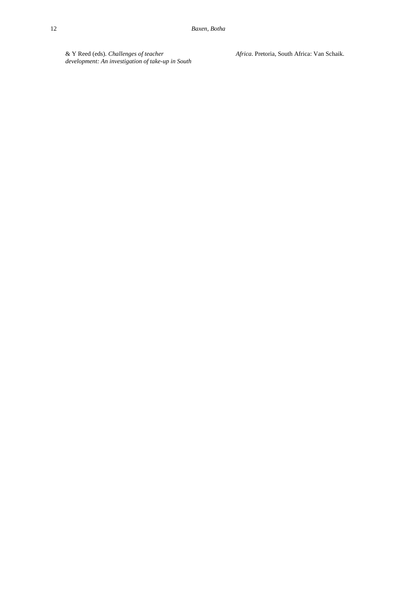& Y Reed (eds). *Challenges of teacher development: An investigation of take-up in South*  *Africa*. Pretoria, South Africa: Van Schaik.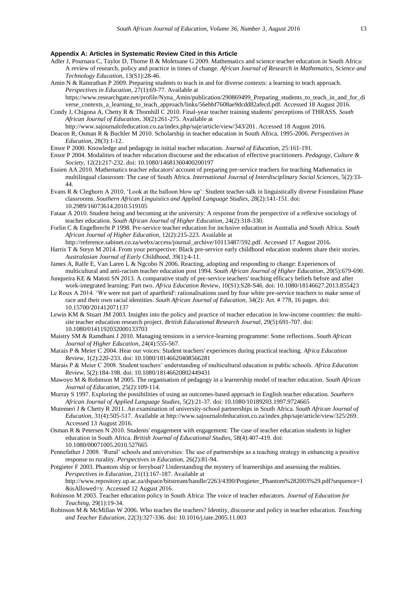#### **Appendix A: Articles in Systematic Review Cited in this Article**

- Adler J, Pournara C, Taylor D, Thorne B & Moletsane G 2009. Mathematics and science teacher education in South Africa: A review of research, policy and practice in times of change. *African Journal of Research in Mathematics, Science and Technology Education*, 13(S1):28-46.
- Amin N & Ramrathan P 2009. Preparing students to teach in and for diverse contexts: a learning to teach approach. *Perspectives in Education*, 27(1):69-77. Available at

[https://www.researchgate.net/profile/Nyna\\_Amin/publication/290869499\\_Preparing\\_students\\_to\\_teach\\_in\\_and\\_for\\_di](https://www.researchgate.net/profile/Nyna_Amin/publication/290869499_Preparing_students_to_teach_in_and_for_diverse_contexts_a_learning_to_teach_approach/links/56ebbf7608ae9dcdd82afecd.pdf) [verse\\_contexts\\_a\\_learning\\_to\\_teach\\_approach/links/56ebbf7608ae9dcdd82afecd.pdf.](https://www.researchgate.net/profile/Nyna_Amin/publication/290869499_Preparing_students_to_teach_in_and_for_diverse_contexts_a_learning_to_teach_approach/links/56ebbf7608ae9dcdd82afecd.pdf) Accessed 18 August 2016.

- Condy J, Chigona A, Chetty R & Thornhill C 2010. Final-year teacher training students' perceptions of THRASS. *South African Journal of Education*, 30(2):261-275. Available at
	- [http://www.sajournalofeducation.co.za/index.php/saje/article/view/343/201.](http://www.sajournalofeducation.co.za/index.php/saje/article/view/343/201) Accessed 18 August 2016.
- Deacon R, Osman R & Buchler M 2010. Scholarship in teacher education in South Africa, 1995-2006. *Perspectives in Education*, 28(3):1-12.
- Ensor P 2000. Knowledge and pedagogy in initial teacher education. *Journal of Education*, 25:161-191.
- Ensor P 2004. Modalities of teacher education discourse and the education of effective practitioners. *Pedagogy, Culture & Society*, 12(2):217-232. [doi: 10.1080/14681360400200197](http://dx.doi.org/10.1080/14681360400200197)
- Essien AA 2010. Mathematics teacher educators' account of preparing pre-service teachers for teaching Mathematics in multilingual classroom: The case of South Africa. *International Journal of Interdisciplinary Social Sciences*, 5(2):33- 44.
- Evans R & Cleghorn A 2010. 'Look at the balloon blow up': Student teacher-talk in linguistically diverse Foundation Phase classrooms. *Southern African Linguistics and Applied Language Studies*, 28(2):141-151. [doi:](http://dx.doi.org/10.2989/16073614.2010.519105)  [10.2989/16073614.2010.519105](http://dx.doi.org/10.2989/16073614.2010.519105)
- Fataar A 2010. Student being and becoming at the university: A response from the perspective of a reflexive sociology of teacher education. *South African Journal of Higher Education*, 24(2):318-330.
- Forlin C & Engelbrecht P 1998. Pre-service teacher education for inclusive education in Australia and South Africa. *South African Journal of Higher Education*, 12(2):215-223. Available at
- [http://reference.sabinet.co.za/webx/access/journal\\_archive/10113487/592.pdf.](http://reference.sabinet.co.za/webx/access/journal_archive/10113487/592.pdf) Accessed 17 August 2016.
- Harris T & Steyn M 2014. From your perspective: Black pre-service early childhood education students share their stories. *Australasian Journal of Early Childhood*, 39(1):4-11.
- James A, Ralfe E, Van Laren L & Ngcobo N 2006. Reacting, adopting and responding to change: Experiences of multicultural and anti-racism teacher education post 1994. *South African Journal of Higher Education*, 20(5):679-690.
- Junqueira KE & Matoti SN 2013. A comparative study of pre-service teachers' teaching efficacy beliefs before and after work-integrated learning: Part two. *Africa Education Review*, 10(S1):S28-S46. [doi: 10.1080/18146627.2013.855423](http://dx.doi.org/10.1080/18146627.2013.855423)
- Le Roux A 2014. 'We were not part of apartheid': rationalisations used by four white pre-service teachers to make sense of race and their own racial identities. *South African Journal of Education*, 34(2): Art. # 778, 16 pages. [doi:](http://dx.doi.org/10.15700/201412071137)  [10.15700/201412071137](http://dx.doi.org/10.15700/201412071137)
- Lewin KM & Stuart JM 2003. Insights into the policy and practice of teacher education in low-income countries: the multisite teacher education research project. *British Educational Research Journal*, 29(5):691-707. [doi:](http://dx.doi.org/10.1080/0141192032000133703)  [10.1080/0141192032000133703](http://dx.doi.org/10.1080/0141192032000133703)
- Maistry SM & Ramdhani J 2010. Managing tensions in a service-learning programme: Some reflections. *South African Journal of Higher Education*, 24(4):555-567.
- Marais P & Meier C 2004. Hear our voices: Student teachers' experiences during practical teaching. *Africa Education Review*, 1(2):220-233. [doi: 10.1080/18146620408566281](http://dx.doi.org/10.1080/18146620408566281)
- Marais P & Meier C 2008. Student teachers' understanding of multicultural education in public schools. *Africa Education Review*, 5(2):184-198. [doi: 10.1080/18146620802449431](http://dx.doi.org/10.1080/18146620802449431)
- Mawoyo M & Robinson M 2005. The organisation of pedagogy in a learnership model of teacher education. *South African Journal of Education*, 25(2):109-114.
- Murray S 1997. Exploring the possibilities of using an outcomes-based approach in English teacher education. *Southern African Journal of Applied Language Studies*, 5(2):21-37. [doi: 10.1080/10189203.1997.9724665](http://dx.doi.org/10.1080/10189203.1997.9724665)
- Mutemeri J & Chetty R 2011. An examination of university-school partnerships in South Africa. *South African Journal of Education*, 31(4):505-517. Available a[t http://www.sajournalofeducation.co.za/index.php/saje/article/view/325/269.](http://www.sajournalofeducation.co.za/index.php/saje/article/view/325/269) Accessed 13 August 2016.
- Osman R & Petersen N 2010. Students' engagement with engagement: The case of teacher education students in higher education in South Africa. *British Journal of Educational Studies*, 58(4):407-419. [doi:](http://dx.doi.org/10.1080/00071005.2010.527665)  [10.1080/00071005.2010.527665](http://dx.doi.org/10.1080/00071005.2010.527665)
- Pennefather J 2008. 'Rural' schools and universities: The use of partnerships as a teaching strategy in enhancing a positive response to rurality. *Perspectives in Education*, 26(2):81-94.
- Potgieter F 2003. Phantom ship or ferryboat? Understanding the mystery of learnerships and assessing the realities. *Perspectives in Education*, 21(1):167-187. Available at [http://www.repository.up.ac.za/dspace/bitstream/handle/2263/4390/Potgieter\\_Phantom%282003%29.pdf?sequence=1](http://www.repository.up.ac.za/dspace/bitstream/handle/2263/4390/Potgieter_Phantom%282003%29.pdf?sequence=1&isAllowed=y) [&isAllowed=y.](http://www.repository.up.ac.za/dspace/bitstream/handle/2263/4390/Potgieter_Phantom%282003%29.pdf?sequence=1&isAllowed=y) Accessed 12 August 2016.
- Robinson M 2003. Teacher education policy in South Africa: The voice of teacher educators. *Journal of Education for Teaching*, 29(1):19-34.
- Robinson M & McMillan W 2006. Who teaches the teachers? Identity, discourse and policy in teacher education. *Teaching and Teacher Education*, 22(3):327-336. [doi: 10.1016/j.tate.2005.11.003](http://dx.doi.org/10.1016/j.tate.2005.11.003)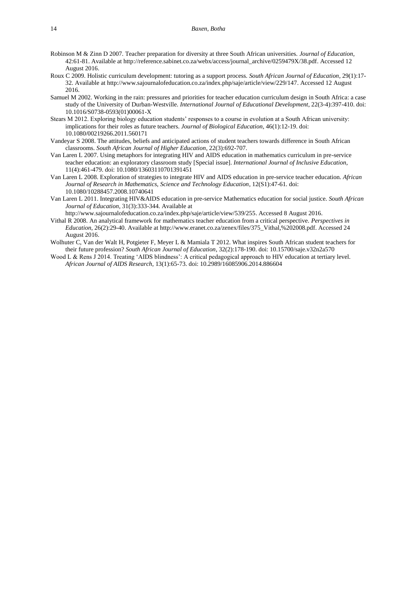- Robinson M & Zinn D 2007. Teacher preparation for diversity at three South African universities. *Journal of Education*, 42:61-81. Available a[t http://reference.sabinet.co.za/webx/access/journal\\_archive/0259479X/38.pdf.](http://reference.sabinet.co.za/webx/access/journal_archive/0259479X/38.pdf) Accessed 12 August 2016.
- Roux C 2009. Holistic curriculum development: tutoring as a support process. *South African Journal of Education*, 29(1):17- 32. Available at [http://www.sajournalofeducation.co.za/index.php/saje/article/view/229/147.](http://www.sajournalofeducation.co.za/index.php/saje/article/view/229/147) Accessed 12 August 2016.
- Samuel M 2002. Working in the rain: pressures and priorities for teacher education curriculum design in South Africa: a case study of the University of Durban-Westville. *International Journal of Educational Development*, 22(3-4):397-410. [doi:](http://dx.doi.org/10.1016/S0738-0593(01)00061-X)  [10.1016/S0738-0593\(01\)00061-X](http://dx.doi.org/10.1016/S0738-0593(01)00061-X)
- Stears M 2012. Exploring biology education students' responses to a course in evolution at a South African university: implications for their roles as future teachers. *Journal of Biological Education*, 46(1):12-19. [doi:](http://dx.doi.org/10.1080/00219266.2011.560171)  [10.1080/00219266.2011.560171](http://dx.doi.org/10.1080/00219266.2011.560171)
- Vandeyar S 2008. The attitudes, beliefs and anticipated actions of student teachers towards difference in South African classrooms. *South African Journal of Higher Education*, 22(3):692-707.
- Van Laren L 2007. Using metaphors for integrating HIV and AIDS education in mathematics curriculum in pre-service teacher education: an exploratory classroom study [Special issue]. *International Journal of Inclusive Education*, 11(4):461-479. [doi: 10.1080/13603110701391451](http://dx.doi.org/10.1080/13603110701391451)
- Van Laren L 2008. Exploration of strategies to integrate HIV and AIDS education in pre-service teacher education. *African Journal of Research in Mathematics, Science and Technology Education*, 12(S1):47-61. [doi:](http://www.tandfonline.com/doi/abs/10.1080/10288457.2008.10740641)  [10.1080/10288457.2008.10740641](http://www.tandfonline.com/doi/abs/10.1080/10288457.2008.10740641)
- Van Laren L 2011. Integrating HIV&AIDS education in pre-service Mathematics education for social justice. *South African Journal of Education*, 31(3):333-344. Available at

[http://www.sajournalofeducation.co.za/index.php/saje/article/view/539/255.](http://www.sajournalofeducation.co.za/index.php/saje/article/view/539/255) Accessed 8 August 2016.

- Vithal R 2008. An analytical framework for mathematics teacher education from a critical perspective. *Perspectives in Education*, 26(2):29-40. Available a[t http://www.eranet.co.za/zenex/files/375\\_Vithal,%202008.pdf.](http://www.eranet.co.za/zenex/files/375_Vithal,%202008.pdf) Accessed 24 August 2016.
- Wolhuter C, Van der Walt H, Potgieter F, Meyer L & Mamiala T 2012. What inspires South African student teachers for their future profession? *South African Journal of Education*, 32(2):178-190. [doi: 10.15700/saje.v32n2a570](http://dx.doi.org/10.15700/saje.v32n2a570)
- Wood L & Rens J 2014. Treating 'AIDS blindness': A critical pedagogical approach to HIV education at tertiary level. *African Journal of AIDS Research*, 13(1):65-73. [doi: 10.2989/16085906.2014.886604](http://dx.doi.org/10.2989/16085906.2014.886604)